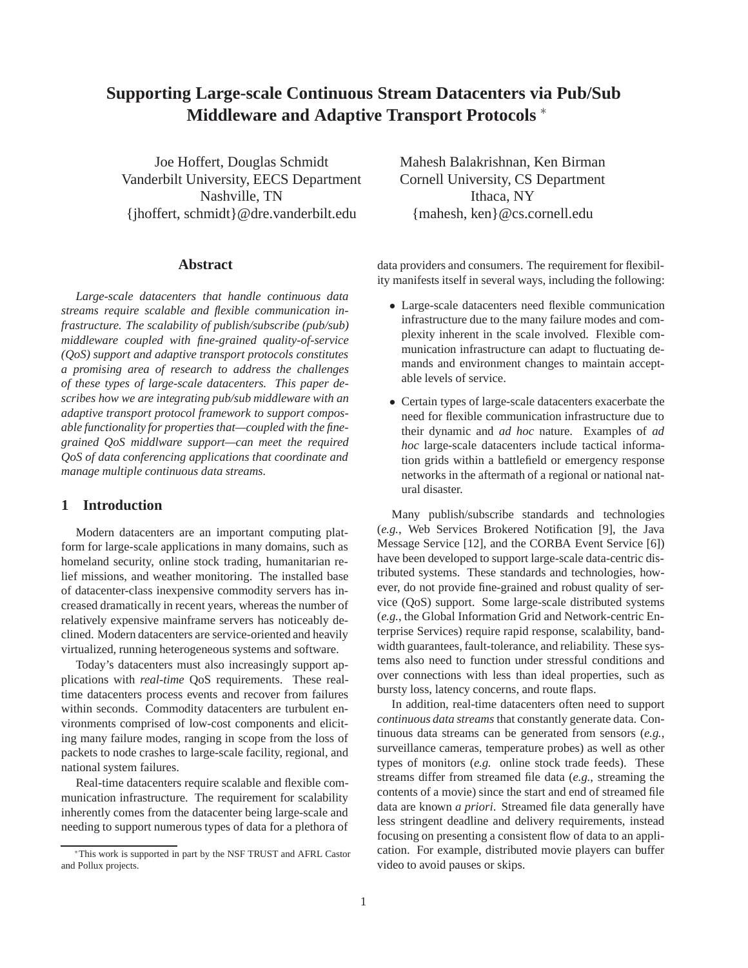# **Supporting Large-scale Continuous Stream Datacenters via Pub/Sub Middleware and Adaptive Transport Protocols** ∗

Joe Hoffert, Douglas Schmidt Vanderbilt University, EECS Department Nashville, TN {jhoffert, schmidt}@dre.vanderbilt.edu

#### **Abstract**

*Large-scale datacenters that handle continuous data streams require scalable and flexible communication infrastructure. The scalability of publish/subscribe (pub/sub) middleware coupled with fine-grained quality-of-service (QoS) support and adaptive transport protocols constitutes a promising area of research to address the challenges of these types of large-scale datacenters. This paper describes how we are integrating pub/sub middleware with an adaptive transport protocol framework to support composable functionality for properties that—coupled with the finegrained QoS middlware support—can meet the required QoS of data conferencing applications that coordinate and manage multiple continuous data streams.*

#### **1 Introduction**

Modern datacenters are an important computing platform for large-scale applications in many domains, such as homeland security, online stock trading, humanitarian relief missions, and weather monitoring. The installed base of datacenter-class inexpensive commodity servers has increased dramatically in recent years, whereas the number of relatively expensive mainframe servers has noticeably declined. Modern datacenters are service-oriented and heavily virtualized, running heterogeneous systems and software.

Today's datacenters must also increasingly support applications with *real-time* QoS requirements. These realtime datacenters process events and recover from failures within seconds. Commodity datacenters are turbulent environments comprised of low-cost components and eliciting many failure modes, ranging in scope from the loss of packets to node crashes to large-scale facility, regional, and national system failures.

Real-time datacenters require scalable and flexible communication infrastructure. The requirement for scalability inherently comes from the datacenter being large-scale and needing to support numerous types of data for a plethora of Mahesh Balakrishnan, Ken Birman Cornell University, CS Department Ithaca, NY {mahesh, ken}@cs.cornell.edu

data providers and consumers. The requirement for flexibility manifests itself in several ways, including the following:

- Large-scale datacenters need flexible communication infrastructure due to the many failure modes and complexity inherent in the scale involved. Flexible communication infrastructure can adapt to fluctuating demands and environment changes to maintain acceptable levels of service.
- Certain types of large-scale datacenters exacerbate the need for flexible communication infrastructure due to their dynamic and *ad hoc* nature. Examples of *ad hoc* large-scale datacenters include tactical information grids within a battlefield or emergency response networks in the aftermath of a regional or national natural disaster.

Many publish/subscribe standards and technologies (*e.g.*, Web Services Brokered Notification [9], the Java Message Service [12], and the CORBA Event Service [6]) have been developed to support large-scale data-centric distributed systems. These standards and technologies, however, do not provide fine-grained and robust quality of service (QoS) support. Some large-scale distributed systems (*e.g.*, the Global Information Grid and Network-centric Enterprise Services) require rapid response, scalability, bandwidth guarantees, fault-tolerance, and reliability. These systems also need to function under stressful conditions and over connections with less than ideal properties, such as bursty loss, latency concerns, and route flaps.

In addition, real-time datacenters often need to support *continuous data streams* that constantly generate data. Continuous data streams can be generated from sensors (*e.g.*, surveillance cameras, temperature probes) as well as other types of monitors (*e.g.* online stock trade feeds). These streams differ from streamed file data (*e.g.*, streaming the contents of a movie) since the start and end of streamed file data are known *a priori*. Streamed file data generally have less stringent deadline and delivery requirements, instead focusing on presenting a consistent flow of data to an application. For example, distributed movie players can buffer video to avoid pauses or skips.

<sup>∗</sup>This work is supported in part by the NSF TRUST and AFRL Castor and Pollux projects.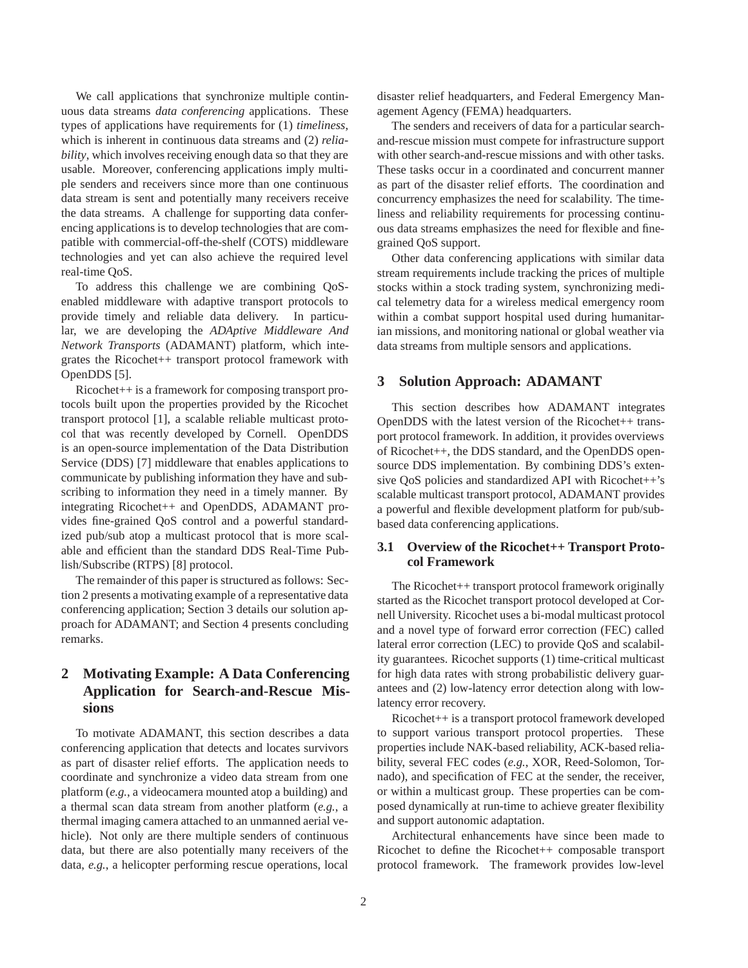We call applications that synchronize multiple continuous data streams *data conferencing* applications. These types of applications have requirements for (1) *timeliness*, which is inherent in continuous data streams and (2) *reliability*, which involves receiving enough data so that they are usable. Moreover, conferencing applications imply multiple senders and receivers since more than one continuous data stream is sent and potentially many receivers receive the data streams. A challenge for supporting data conferencing applications is to develop technologies that are compatible with commercial-off-the-shelf (COTS) middleware technologies and yet can also achieve the required level real-time QoS.

To address this challenge we are combining QoSenabled middleware with adaptive transport protocols to provide timely and reliable data delivery. In particular, we are developing the *ADAptive Middleware And Network Transports* (ADAMANT) platform, which integrates the Ricochet++ transport protocol framework with OpenDDS [5].

Ricochet++ is a framework for composing transport protocols built upon the properties provided by the Ricochet transport protocol [1], a scalable reliable multicast protocol that was recently developed by Cornell. OpenDDS is an open-source implementation of the Data Distribution Service (DDS) [7] middleware that enables applications to communicate by publishing information they have and subscribing to information they need in a timely manner. By integrating Ricochet++ and OpenDDS, ADAMANT provides fine-grained QoS control and a powerful standardized pub/sub atop a multicast protocol that is more scalable and efficient than the standard DDS Real-Time Publish/Subscribe (RTPS) [8] protocol.

The remainder of this paper is structured as follows: Section 2 presents a motivating example of a representative data conferencing application; Section 3 details our solution approach for ADAMANT; and Section 4 presents concluding remarks.

## **2 Motivating Example: A Data Conferencing Application for Search-and-Rescue Missions**

To motivate ADAMANT, this section describes a data conferencing application that detects and locates survivors as part of disaster relief efforts. The application needs to coordinate and synchronize a video data stream from one platform (*e.g.*, a videocamera mounted atop a building) and a thermal scan data stream from another platform (*e.g.*, a thermal imaging camera attached to an unmanned aerial vehicle). Not only are there multiple senders of continuous data, but there are also potentially many receivers of the data, *e.g.*, a helicopter performing rescue operations, local

disaster relief headquarters, and Federal Emergency Management Agency (FEMA) headquarters.

The senders and receivers of data for a particular searchand-rescue mission must compete for infrastructure support with other search-and-rescue missions and with other tasks. These tasks occur in a coordinated and concurrent manner as part of the disaster relief efforts. The coordination and concurrency emphasizes the need for scalability. The timeliness and reliability requirements for processing continuous data streams emphasizes the need for flexible and finegrained QoS support.

Other data conferencing applications with similar data stream requirements include tracking the prices of multiple stocks within a stock trading system, synchronizing medical telemetry data for a wireless medical emergency room within a combat support hospital used during humanitarian missions, and monitoring national or global weather via data streams from multiple sensors and applications.

#### **3 Solution Approach: ADAMANT**

This section describes how ADAMANT integrates OpenDDS with the latest version of the Ricochet++ transport protocol framework. In addition, it provides overviews of Ricochet++, the DDS standard, and the OpenDDS opensource DDS implementation. By combining DDS's extensive QoS policies and standardized API with Ricochet++'s scalable multicast transport protocol, ADAMANT provides a powerful and flexible development platform for pub/subbased data conferencing applications.

#### **3.1 Overview of the Ricochet++ Transport Protocol Framework**

The Ricochet++ transport protocol framework originally started as the Ricochet transport protocol developed at Cornell University. Ricochet uses a bi-modal multicast protocol and a novel type of forward error correction (FEC) called lateral error correction (LEC) to provide QoS and scalability guarantees. Ricochet supports (1) time-critical multicast for high data rates with strong probabilistic delivery guarantees and (2) low-latency error detection along with lowlatency error recovery.

Ricochet++ is a transport protocol framework developed to support various transport protocol properties. These properties include NAK-based reliability, ACK-based reliability, several FEC codes (*e.g.*, XOR, Reed-Solomon, Tornado), and specification of FEC at the sender, the receiver, or within a multicast group. These properties can be composed dynamically at run-time to achieve greater flexibility and support autonomic adaptation.

Architectural enhancements have since been made to Ricochet to define the Ricochet++ composable transport protocol framework. The framework provides low-level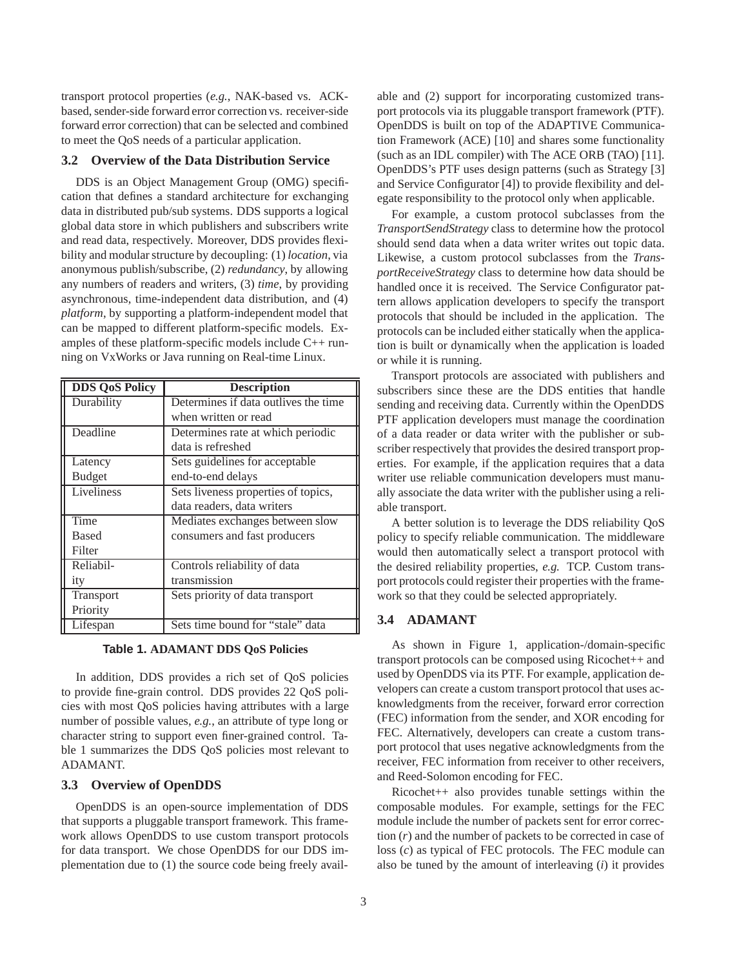transport protocol properties (*e.g.*, NAK-based vs. ACKbased, sender-side forward error correction vs. receiver-side forward error correction) that can be selected and combined to meet the QoS needs of a particular application.

#### **3.2 Overview of the Data Distribution Service**

DDS is an Object Management Group (OMG) specification that defines a standard architecture for exchanging data in distributed pub/sub systems. DDS supports a logical global data store in which publishers and subscribers write and read data, respectively. Moreover, DDS provides flexibility and modular structure by decoupling: (1) *location*, via anonymous publish/subscribe, (2) *redundancy*, by allowing any numbers of readers and writers, (3) *time*, by providing asynchronous, time-independent data distribution, and (4) *platform*, by supporting a platform-independent model that can be mapped to different platform-specific models. Examples of these platform-specific models include C++ running on VxWorks or Java running on Real-time Linux.

| <b>DDS QoS Policy</b> | <b>Description</b>                   |
|-----------------------|--------------------------------------|
| Durability            | Determines if data outlives the time |
|                       | when written or read                 |
| Deadline              | Determines rate at which periodic    |
|                       | data is refreshed                    |
| Latency               | Sets guidelines for acceptable       |
| <b>Budget</b>         | end-to-end delays                    |
| Liveliness            | Sets liveness properties of topics,  |
|                       | data readers, data writers           |
| Time                  | Mediates exchanges between slow      |
| <b>Based</b>          | consumers and fast producers         |
| Filter                |                                      |
| Reliabil-             | Controls reliability of data         |
| ity                   | transmission                         |
| Transport             | Sets priority of data transport      |
| Priority              |                                      |
| Lifespan              | Sets time bound for "stale" data     |

#### **Table 1. ADAMANT DDS QoS Policies**

In addition, DDS provides a rich set of QoS policies to provide fine-grain control. DDS provides 22 QoS policies with most QoS policies having attributes with a large number of possible values, *e.g.*, an attribute of type long or character string to support even finer-grained control. Table 1 summarizes the DDS QoS policies most relevant to ADAMANT.

#### **3.3 Overview of OpenDDS**

OpenDDS is an open-source implementation of DDS that supports a pluggable transport framework. This framework allows OpenDDS to use custom transport protocols for data transport. We chose OpenDDS for our DDS implementation due to (1) the source code being freely available and (2) support for incorporating customized transport protocols via its pluggable transport framework (PTF). OpenDDS is built on top of the ADAPTIVE Communication Framework (ACE) [10] and shares some functionality (such as an IDL compiler) with The ACE ORB (TAO) [11]. OpenDDS's PTF uses design patterns (such as Strategy [3] and Service Configurator [4]) to provide flexibility and delegate responsibility to the protocol only when applicable.

For example, a custom protocol subclasses from the *TransportSendStrategy* class to determine how the protocol should send data when a data writer writes out topic data. Likewise, a custom protocol subclasses from the *TransportReceiveStrategy* class to determine how data should be handled once it is received. The Service Configurator pattern allows application developers to specify the transport protocols that should be included in the application. The protocols can be included either statically when the application is built or dynamically when the application is loaded or while it is running.

Transport protocols are associated with publishers and subscribers since these are the DDS entities that handle sending and receiving data. Currently within the OpenDDS PTF application developers must manage the coordination of a data reader or data writer with the publisher or subscriber respectively that provides the desired transport properties. For example, if the application requires that a data writer use reliable communication developers must manually associate the data writer with the publisher using a reliable transport.

A better solution is to leverage the DDS reliability QoS policy to specify reliable communication. The middleware would then automatically select a transport protocol with the desired reliability properties, *e.g.* TCP. Custom transport protocols could register their properties with the framework so that they could be selected appropriately.

#### **3.4 ADAMANT**

As shown in Figure 1, application-/domain-specific transport protocols can be composed using Ricochet++ and used by OpenDDS via its PTF. For example, application developers can create a custom transport protocol that uses acknowledgments from the receiver, forward error correction (FEC) information from the sender, and XOR encoding for FEC. Alternatively, developers can create a custom transport protocol that uses negative acknowledgments from the receiver, FEC information from receiver to other receivers, and Reed-Solomon encoding for FEC.

Ricochet++ also provides tunable settings within the composable modules. For example, settings for the FEC module include the number of packets sent for error correction (*r*) and the number of packets to be corrected in case of loss (*c*) as typical of FEC protocols. The FEC module can also be tuned by the amount of interleaving (*i*) it provides